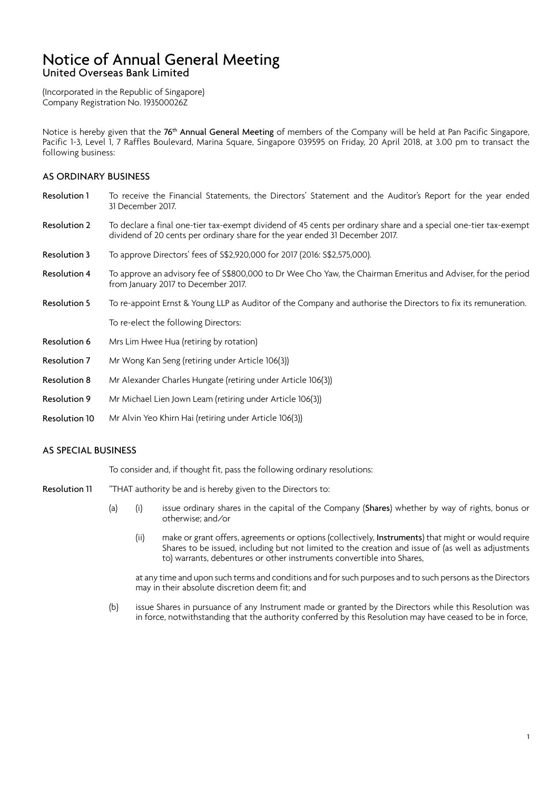### Notice of Annual General Meeting United Overseas Bank Limited

(Incorporated in the Republic of Singapore) Company Registration No. 193500026Z

Notice is hereby given that the 76<sup>th</sup> Annual General Meeting of members of the Company will be held at Pan Pacific Singapore, Pacific 1-3, Level 1, 7 Raffles Boulevard, Marina Square, Singapore 039595 on Friday, 20 April 2018, at 3.00 pm to transact the following business:

### AS ORDINARY BUSINESS

- Resolution 1 To receive the Financial Statements, the Directors' Statement and the Auditor's Report for the year ended 31 December 2017.
- Resolution 2 To declare a final one-tier tax-exempt dividend of 45 cents per ordinary share and a special one-tier tax-exempt dividend of 20 cents per ordinary share for the year ended 31 December 2017.
- Resolution 3 To approve Directors' fees of S\$2,920,000 for 2017 (2016: S\$2,575,000).
- Resolution 4 To approve an advisory fee of S\$800,000 to Dr Wee Cho Yaw, the Chairman Emeritus and Adviser, for the period from January 2017 to December 2017.
- Resolution 5 To re-appoint Ernst & Young LLP as Auditor of the Company and authorise the Directors to fix its remuneration.

To re-elect the following Directors:

- Resolution 6 Mrs Lim Hwee Hua (retiring by rotation)
- Resolution 7 Mr Wong Kan Seng (retiring under Article 106(3))
- Resolution 8 Mr Alexander Charles Hungate (retiring under Article 106(3))
- Resolution 9 Mr Michael Lien Jown Leam (retiring under Article 106(3))
- Resolution 10 Mr Alvin Yeo Khirn Hai (retiring under Article 106(3))

#### AS SPECIAL BUSINESS

To consider and, if thought fit, pass the following ordinary resolutions:

- Resolution 11 "THAT authority be and is hereby given to the Directors to:
	- (a) (i) issue ordinary shares in the capital of the Company (Shares) whether by way of rights, bonus or otherwise; and/or
		- (ii) make or grant offers, agreements or options (collectively, Instruments) that might or would require Shares to be issued, including but not limited to the creation and issue of (as well as adjustments to) warrants, debentures or other instruments convertible into Shares,

at any time and upon such terms and conditions and for such purposes and to such persons as the Directors may in their absolute discretion deem fit; and

(b) issue Shares in pursuance of any Instrument made or granted by the Directors while this Resolution was in force, notwithstanding that the authority conferred by this Resolution may have ceased to be in force,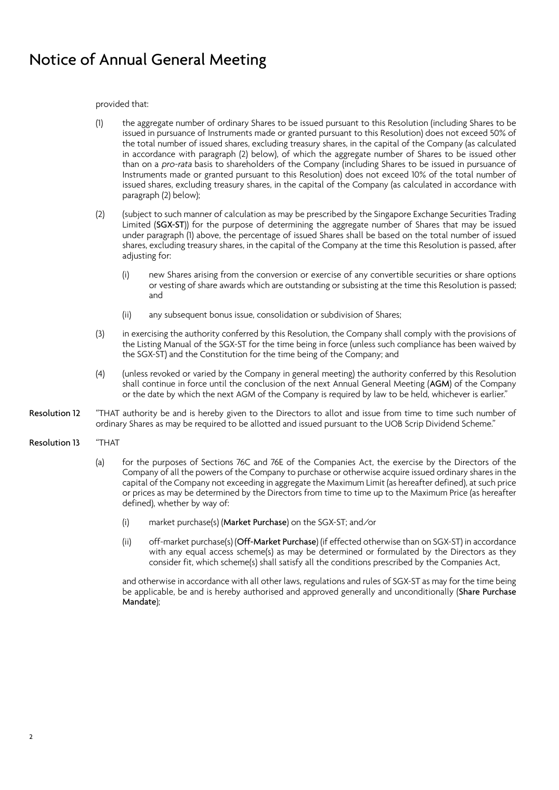## Notice of Annual General Meeting

provided that:

- (1) the aggregate number of ordinary Shares to be issued pursuant to this Resolution (including Shares to be issued in pursuance of Instruments made or granted pursuant to this Resolution) does not exceed 50% of the total number of issued shares, excluding treasury shares, in the capital of the Company (as calculated in accordance with paragraph (2) below), of which the aggregate number of Shares to be issued other than on a pro-rata basis to shareholders of the Company (including Shares to be issued in pursuance of Instruments made or granted pursuant to this Resolution) does not exceed 10% of the total number of issued shares, excluding treasury shares, in the capital of the Company (as calculated in accordance with paragraph (2) below);
- (2) (subject to such manner of calculation as may be prescribed by the Singapore Exchange Securities Trading Limited (SGX-ST)) for the purpose of determining the aggregate number of Shares that may be issued under paragraph (1) above, the percentage of issued Shares shall be based on the total number of issued shares, excluding treasury shares, in the capital of the Company at the time this Resolution is passed, after adjusting for:
	- (i) new Shares arising from the conversion or exercise of any convertible securities or share options or vesting of share awards which are outstanding or subsisting at the time this Resolution is passed; and
	- (ii) any subsequent bonus issue, consolidation or subdivision of Shares;
- (3) in exercising the authority conferred by this Resolution, the Company shall comply with the provisions of the Listing Manual of the SGX-ST for the time being in force (unless such compliance has been waived by the SGX-ST) and the Constitution for the time being of the Company; and
- (4) (unless revoked or varied by the Company in general meeting) the authority conferred by this Resolution shall continue in force until the conclusion of the next Annual General Meeting (AGM) of the Company or the date by which the next AGM of the Company is required by law to be held, whichever is earlier."
- Resolution 12 "THAT authority be and is hereby given to the Directors to allot and issue from time to time such number of ordinary Shares as may be required to be allotted and issued pursuant to the UOB Scrip Dividend Scheme."
- Resolution 13 "THAT
	- (a) for the purposes of Sections 76C and 76E of the Companies Act, the exercise by the Directors of the Company of all the powers of the Company to purchase or otherwise acquire issued ordinary shares in the capital of the Company not exceeding in aggregate the Maximum Limit (as hereafter defined), at such price or prices as may be determined by the Directors from time to time up to the Maximum Price (as hereafter defined), whether by way of:
		- (i) market purchase(s) (Market Purchase) on the SGX-ST; and/or
		- (ii) off-market purchase(s) (Off-Market Purchase) (if effected otherwise than on SGX-ST) in accordance with any equal access scheme(s) as may be determined or formulated by the Directors as they consider fit, which scheme(s) shall satisfy all the conditions prescribed by the Companies Act,

and otherwise in accordance with all other laws, regulations and rules of SGX-ST as may for the time being be applicable, be and is hereby authorised and approved generally and unconditionally (Share Purchase Mandate);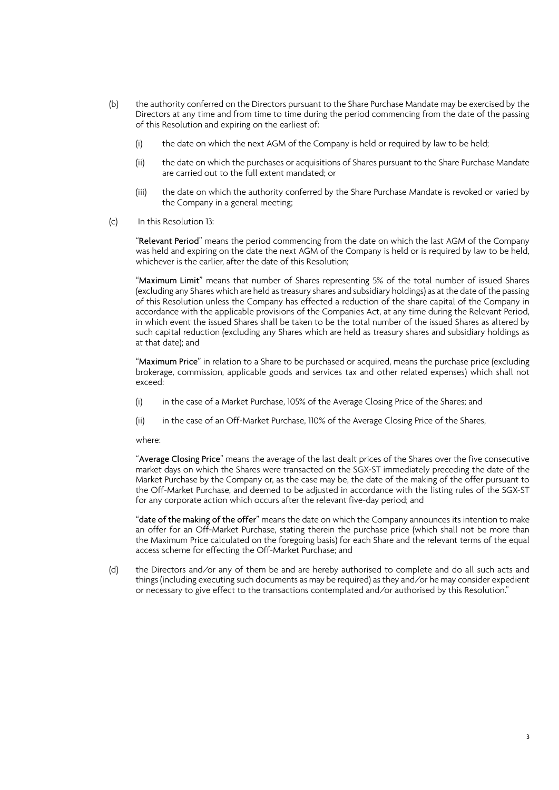- (b) the authority conferred on the Directors pursuant to the Share Purchase Mandate may be exercised by the Directors at any time and from time to time during the period commencing from the date of the passing of this Resolution and expiring on the earliest of:
	- (i) the date on which the next AGM of the Company is held or required by law to be held;
	- (ii) the date on which the purchases or acquisitions of Shares pursuant to the Share Purchase Mandate are carried out to the full extent mandated; or
	- (iii) the date on which the authority conferred by the Share Purchase Mandate is revoked or varied by the Company in a general meeting;
- (c) In this Resolution 13:

"Relevant Period" means the period commencing from the date on which the last AGM of the Company was held and expiring on the date the next AGM of the Company is held or is required by law to be held, whichever is the earlier, after the date of this Resolution;

"Maximum Limit" means that number of Shares representing 5% of the total number of issued Shares (excluding any Shares which are held as treasury shares and subsidiary holdings) as at the date of the passing of this Resolution unless the Company has effected a reduction of the share capital of the Company in accordance with the applicable provisions of the Companies Act, at any time during the Relevant Period, in which event the issued Shares shall be taken to be the total number of the issued Shares as altered by such capital reduction (excluding any Shares which are held as treasury shares and subsidiary holdings as at that date); and

"Maximum Price" in relation to a Share to be purchased or acquired, means the purchase price (excluding brokerage, commission, applicable goods and services tax and other related expenses) which shall not exceed:

- (i) in the case of a Market Purchase, 105% of the Average Closing Price of the Shares; and
- (ii) in the case of an Off-Market Purchase, 110% of the Average Closing Price of the Shares,

where:

"Average Closing Price" means the average of the last dealt prices of the Shares over the five consecutive market days on which the Shares were transacted on the SGX-ST immediately preceding the date of the Market Purchase by the Company or, as the case may be, the date of the making of the offer pursuant to the Off-Market Purchase, and deemed to be adjusted in accordance with the listing rules of the SGX-ST for any corporate action which occurs after the relevant five-day period; and

"date of the making of the offer" means the date on which the Company announces its intention to make an offer for an Off-Market Purchase, stating therein the purchase price (which shall not be more than the Maximum Price calculated on the foregoing basis) for each Share and the relevant terms of the equal access scheme for effecting the Off-Market Purchase; and

(d) the Directors and/or any of them be and are hereby authorised to complete and do all such acts and things (including executing such documents as may be required) as they and/or he may consider expedient or necessary to give effect to the transactions contemplated and/or authorised by this Resolution."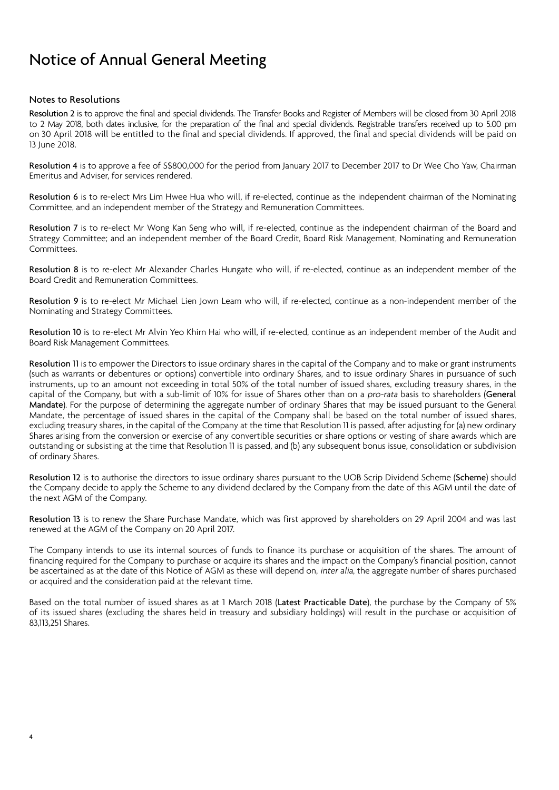# Notice of Annual General Meeting

### Notes to Resolutions

Resolution 2 is to approve the final and special dividends. The Transfer Books and Register of Members will be closed from 30 April 2018 to 2 May 2018, both dates inclusive, for the preparation of the final and special dividends. Registrable transfers received up to 5.00 pm on 30 April 2018 will be entitled to the final and special dividends. If approved, the final and special dividends will be paid on 13 June 2018.

Resolution 4 is to approve a fee of S\$800,000 for the period from January 2017 to December 2017 to Dr Wee Cho Yaw, Chairman Emeritus and Adviser, for services rendered.

Resolution 6 is to re-elect Mrs Lim Hwee Hua who will, if re-elected, continue as the independent chairman of the Nominating Committee, and an independent member of the Strategy and Remuneration Committees.

Resolution 7 is to re-elect Mr Wong Kan Seng who will, if re-elected, continue as the independent chairman of the Board and Strategy Committee; and an independent member of the Board Credit, Board Risk Management, Nominating and Remuneration Committees.

Resolution 8 is to re-elect Mr Alexander Charles Hungate who will, if re-elected, continue as an independent member of the Board Credit and Remuneration Committees.

Resolution 9 is to re-elect Mr Michael Lien Jown Leam who will, if re-elected, continue as a non-independent member of the Nominating and Strategy Committees.

Resolution 10 is to re-elect Mr Alvin Yeo Khirn Hai who will, if re-elected, continue as an independent member of the Audit and Board Risk Management Committees.

Resolution 11 is to empower the Directors to issue ordinary shares in the capital of the Company and to make or grant instruments (such as warrants or debentures or options) convertible into ordinary Shares, and to issue ordinary Shares in pursuance of such instruments, up to an amount not exceeding in total 50% of the total number of issued shares, excluding treasury shares, in the capital of the Company, but with a sub-limit of 10% for issue of Shares other than on a pro-rata basis to shareholders (General Mandate). For the purpose of determining the aggregate number of ordinary Shares that may be issued pursuant to the General Mandate, the percentage of issued shares in the capital of the Company shall be based on the total number of issued shares, excluding treasury shares, in the capital of the Company at the time that Resolution 11 is passed, after adjusting for (a) new ordinary Shares arising from the conversion or exercise of any convertible securities or share options or vesting of share awards which are outstanding or subsisting at the time that Resolution 11 is passed, and (b) any subsequent bonus issue, consolidation or subdivision of ordinary Shares.

Resolution 12 is to authorise the directors to issue ordinary shares pursuant to the UOB Scrip Dividend Scheme (Scheme) should the Company decide to apply the Scheme to any dividend declared by the Company from the date of this AGM until the date of the next AGM of the Company.

Resolution 13 is to renew the Share Purchase Mandate, which was first approved by shareholders on 29 April 2004 and was last renewed at the AGM of the Company on 20 April 2017.

The Company intends to use its internal sources of funds to finance its purchase or acquisition of the shares. The amount of financing required for the Company to purchase or acquire its shares and the impact on the Company's financial position, cannot be ascertained as at the date of this Notice of AGM as these will depend on, *inter alia*, the aggregate number of shares purchased or acquired and the consideration paid at the relevant time.

Based on the total number of issued shares as at 1 March 2018 (Latest Practicable Date), the purchase by the Company of 5% of its issued shares (excluding the shares held in treasury and subsidiary holdings) will result in the purchase or acquisition of 83,113,251 Shares.